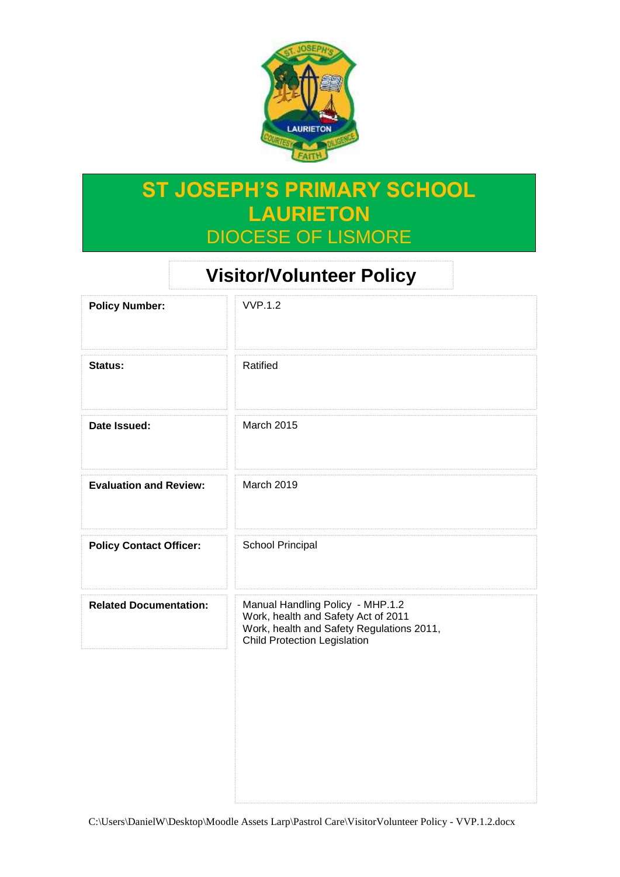

# **ST JOSEPH'S PRIMARY SCHOOL LAURIETON** DIOCESE OF LISMORE

# **Visitor/Volunteer Policy**

| <b>Policy Number:</b>          | <b>VVP.1.2</b>                                                                                                                                              |
|--------------------------------|-------------------------------------------------------------------------------------------------------------------------------------------------------------|
| Status:                        | Ratified                                                                                                                                                    |
| Date Issued:                   | <b>March 2015</b>                                                                                                                                           |
| <b>Evaluation and Review:</b>  | <b>March 2019</b>                                                                                                                                           |
| <b>Policy Contact Officer:</b> | School Principal                                                                                                                                            |
| <b>Related Documentation:</b>  | Manual Handling Policy - MHP.1.2<br>Work, health and Safety Act of 2011<br>Work, health and Safety Regulations 2011,<br><b>Child Protection Legislation</b> |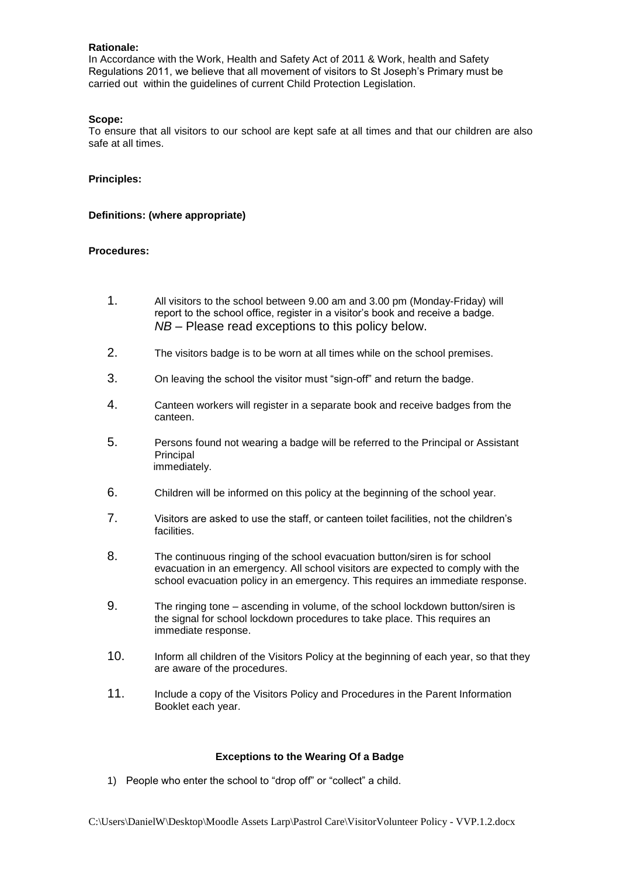### **Rationale:**

In Accordance with the Work, Health and Safety Act of 2011 & Work, health and Safety Regulations 2011, we believe that all movement of visitors to St Joseph's Primary must be carried out within the guidelines of current Child Protection Legislation.

#### **Scope:**

To ensure that all visitors to our school are kept safe at all times and that our children are also safe at all times.

### **Principles:**

### **Definitions: (where appropriate)**

### **Procedures:**

- 1. All visitors to the school between 9.00 am and 3.00 pm (Monday-Friday) will report to the school office, register in a visitor's book and receive a badge. *NB* – Please read exceptions to this policy below.
- 2. The visitors badge is to be worn at all times while on the school premises.
- 3. On leaving the school the visitor must "sign-off" and return the badge.
- 4. Canteen workers will register in a separate book and receive badges from the canteen.
- 5. Persons found not wearing a badge will be referred to the Principal or Assistant **Principal** immediately.
- 6. Children will be informed on this policy at the beginning of the school year.
- 7. Visitors are asked to use the staff, or canteen toilet facilities, not the children's facilities.
- 8. The continuous ringing of the school evacuation button/siren is for school evacuation in an emergency. All school visitors are expected to comply with the school evacuation policy in an emergency. This requires an immediate response.
- 9. The ringing tone ascending in volume, of the school lockdown button/siren is the signal for school lockdown procedures to take place. This requires an immediate response.
- 10. Inform all children of the Visitors Policy at the beginning of each year, so that they are aware of the procedures.
- 11. Include a copy of the Visitors Policy and Procedures in the Parent Information Booklet each year.

#### **Exceptions to the Wearing Of a Badge**

1) People who enter the school to "drop off" or "collect" a child.